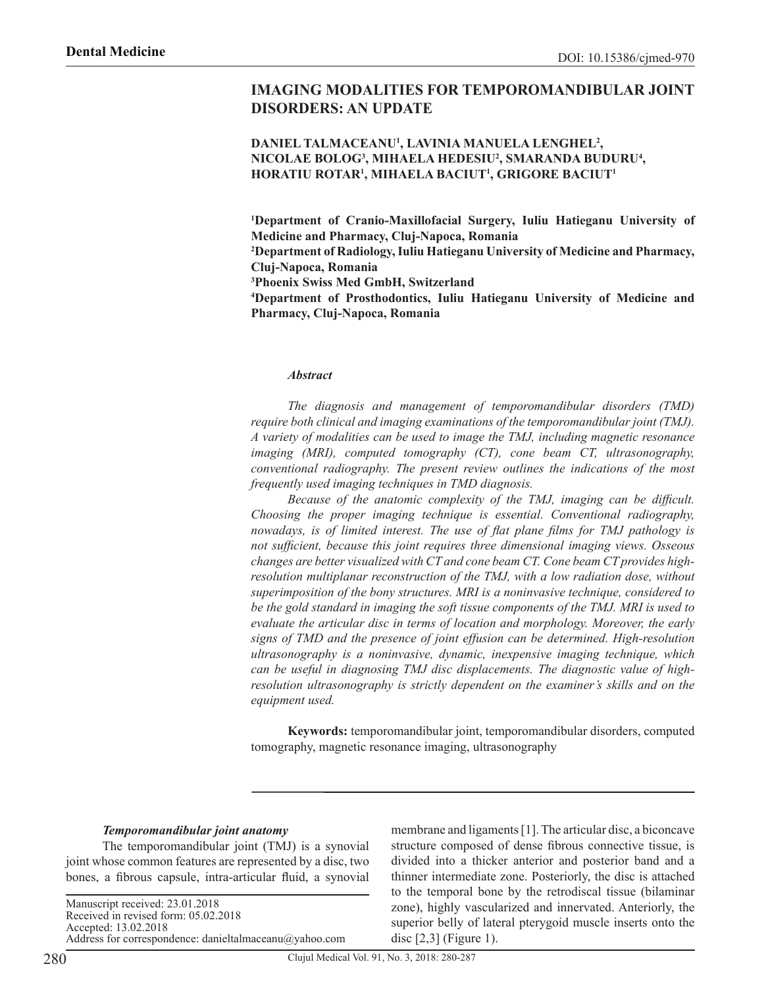# **IMAGING MODALITIES FOR TEMPOROMANDIBULAR JOINT DISORDERS: AN UPDATE**

### **DANIEL TALMACEANU1 , LAVINIA MANUELA LENGHEL2 , NICOLAE BOLOG3 , MIHAELA HEDESIU2 , SMARANDA BUDURU4 , HORATIU ROTAR1 , MIHAELA BACIUT1 , GRIGORE BACIUT1**

**1 Department of Cranio-Maxillofacial Surgery, Iuliu Hatieganu University of Medicine and Pharmacy, Cluj-Napoca, Romania** 

**2 Department of Radiology, Iuliu Hatieganu University of Medicine and Pharmacy, Cluj-Napoca, Romania**

**3 Phoenix Swiss Med GmbH, Switzerland**

**4 Department of Prosthodontics, Iuliu Hatieganu University of Medicine and Pharmacy, Cluj-Napoca, Romania**

#### *Abstract*

*The diagnosis and management of temporomandibular disorders (TMD) require both clinical and imaging examinations of the temporomandibular joint (TMJ). A variety of modalities can be used to image the TMJ, including magnetic resonance imaging (MRI), computed tomography (CT), cone beam CT, ultrasonography, conventional radiography. The present review outlines the indications of the most frequently used imaging techniques in TMD diagnosis.*

*Because of the anatomic complexity of the TMJ, imaging can be difficult. Choosing the proper imaging technique is essential. Conventional radiography, nowadays, is of limited interest. The use of flat plane films for TMJ pathology is not sufficient, because this joint requires three dimensional imaging views. Osseous changes are better visualized with CT and cone beam CT. Cone beam CT provides highresolution multiplanar reconstruction of the TMJ, with a low radiation dose, without superimposition of the bony structures. MRI is a noninvasive technique, considered to be the gold standard in imaging the soft tissue components of the TMJ. MRI is used to evaluate the articular disc in terms of location and morphology. Moreover, the early signs of TMD and the presence of joint effusion can be determined. High-resolution ultrasonography is a noninvasive, dynamic, inexpensive imaging technique, which can be useful in diagnosing TMJ disc displacements. The diagnostic value of highresolution ultrasonography is strictly dependent on the examiner's skills and on the equipment used.* 

**Keywords:** temporomandibular joint, temporomandibular disorders, computed tomography, magnetic resonance imaging, ultrasonography

#### *Temporomandibular joint anatomy*

The temporomandibular joint (TMJ) is a synovial joint whose common features are represented by a disc, two bones, a fibrous capsule, intra-articular fluid, a synovial

Manuscript received: 23.01.2018 Received in revised form: 05.02.2018 Accepted: 13.02.2018 Address for correspondence: danieltalmaceanu@yahoo.com membrane and ligaments [1]. The articular disc, a biconcave structure composed of dense fibrous connective tissue, is divided into a thicker anterior and posterior band and a thinner intermediate zone. Posteriorly, the disc is attached to the temporal bone by the retrodiscal tissue (bilaminar zone), highly vascularized and innervated. Anteriorly, the superior belly of lateral pterygoid muscle inserts onto the disc [2,3] (Figure 1).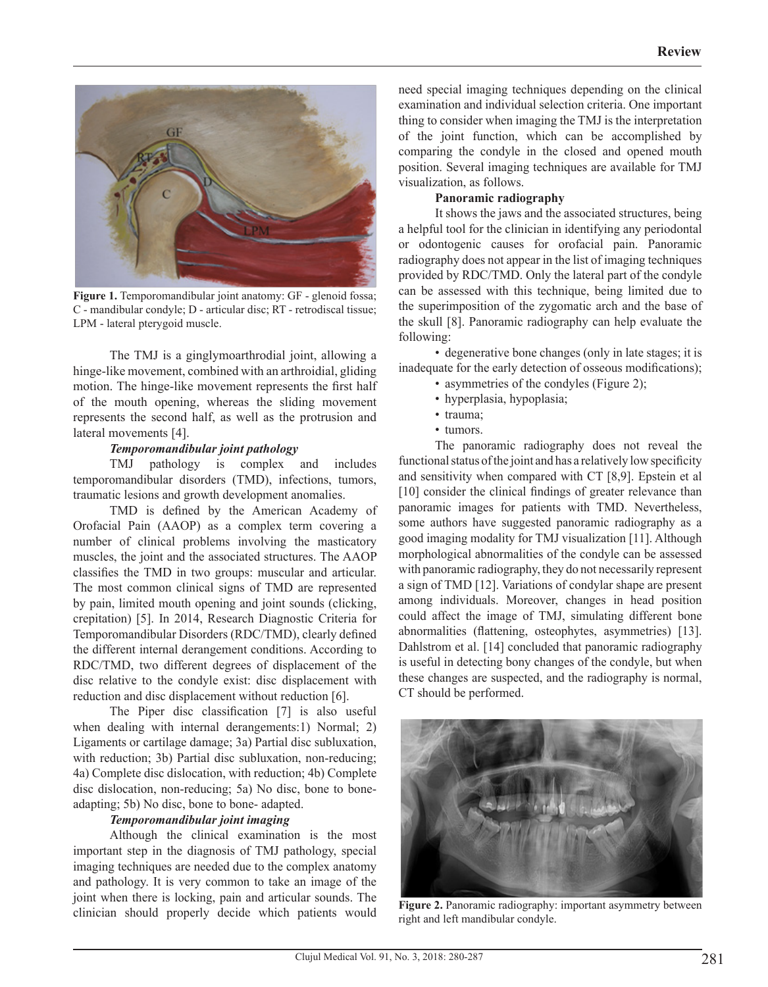

**Figure 1.** Temporomandibular joint anatomy: GF - glenoid fossa; C - mandibular condyle; D - articular disc; RT - retrodiscal tissue; LPM - lateral pterygoid muscle.

The TMJ is a ginglymoarthrodial joint, allowing a hinge-like movement, combined with an arthroidial, gliding motion. The hinge-like movement represents the first half of the mouth opening, whereas the sliding movement represents the second half, as well as the protrusion and lateral movements [4].

### *Temporomandibular joint pathology*

TMJ pathology is complex and includes temporomandibular disorders (TMD), infections, tumors, traumatic lesions and growth development anomalies.

TMD is defined by the American Academy of Orofacial Pain (AAOP) as a complex term covering a number of clinical problems involving the masticatory muscles, the joint and the associated structures. The AAOP classifies the TMD in two groups: muscular and articular. The most common clinical signs of TMD are represented by pain, limited mouth opening and joint sounds (clicking, crepitation) [5]. In 2014, Research Diagnostic Criteria for Temporomandibular Disorders (RDC/TMD), clearly defined the different internal derangement conditions. According to RDC/TMD, two different degrees of displacement of the disc relative to the condyle exist: disc displacement with reduction and disc displacement without reduction [6].

The Piper disc classification [7] is also useful when dealing with internal derangements:1) Normal; 2) Ligaments or cartilage damage; 3a) Partial disc subluxation, with reduction; 3b) Partial disc subluxation, non-reducing; 4a) Complete disc dislocation, with reduction; 4b) Complete disc dislocation, non-reducing; 5a) No disc, bone to boneadapting; 5b) No disc, bone to bone- adapted.

## *Temporomandibular joint imaging*

Although the clinical examination is the most important step in the diagnosis of TMJ pathology, special imaging techniques are needed due to the complex anatomy and pathology. It is very common to take an image of the joint when there is locking, pain and articular sounds. The clinician should properly decide which patients would need special imaging techniques depending on the clinical examination and individual selection criteria. One important thing to consider when imaging the TMJ is the interpretation of the joint function, which can be accomplished by comparing the condyle in the closed and opened mouth position. Several imaging techniques are available for TMJ visualization, as follows.

## **Panoramic radiography**

It shows the jaws and the associated structures, being a helpful tool for the clinician in identifying any periodontal or odontogenic causes for orofacial pain. Panoramic radiography does not appear in the list of imaging techniques provided by RDC/TMD. Only the lateral part of the condyle can be assessed with this technique, being limited due to the superimposition of the zygomatic arch and the base of the skull [8]. Panoramic radiography can help evaluate the following:

• degenerative bone changes (only in late stages; it is inadequate for the early detection of osseous modifications);

- asymmetries of the condyles (Figure 2);
- hyperplasia, hypoplasia;
- trauma;
- tumors.

The panoramic radiography does not reveal the functional status of the joint and has a relatively low specificity and sensitivity when compared with CT [8,9]. Epstein et al [10] consider the clinical findings of greater relevance than panoramic images for patients with TMD. Nevertheless, some authors have suggested panoramic radiography as a good imaging modality for TMJ visualization [11]. Although morphological abnormalities of the condyle can be assessed with panoramic radiography, they do not necessarily represent a sign of TMD [12]. Variations of condylar shape are present among individuals. Moreover, changes in head position could affect the image of TMJ, simulating different bone abnormalities (flattening, osteophytes, asymmetries) [13]. Dahlstrom et al. [14] concluded that panoramic radiography is useful in detecting bony changes of the condyle, but when these changes are suspected, and the radiography is normal, CT should be performed.



**Figure 2.** Panoramic radiography: important asymmetry between right and left mandibular condyle.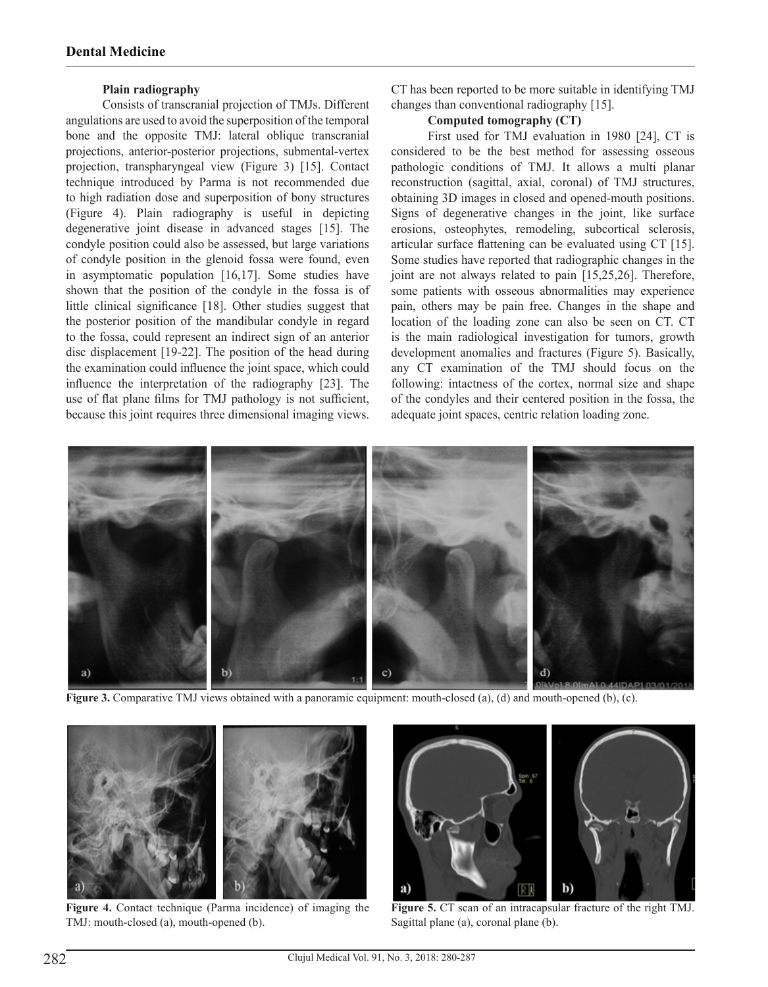### **Plain radiography**

Consists of transcranial projection of TMJs. Different angulations are used to avoid the superposition of the temporal bone and the opposite TMJ: lateral oblique transcranial projections, anterior-posterior projections, submental-vertex projection, transpharyngeal view (Figure 3) [15]. Contact technique introduced by Parma is not recommended due to high radiation dose and superposition of bony structures (Figure 4). Plain radiography is useful in depicting degenerative joint disease in advanced stages [15]. The condyle position could also be assessed, but large variations of condyle position in the glenoid fossa were found, even in asymptomatic population [16,17]. Some studies have shown that the position of the condyle in the fossa is of little clinical significance [18]. Other studies suggest that the posterior position of the mandibular condyle in regard to the fossa, could represent an indirect sign of an anterior disc displacement [19-22]. The position of the head during the examination could influence the joint space, which could influence the interpretation of the radiography [23]. The use of flat plane films for TMJ pathology is not sufficient, because this joint requires three dimensional imaging views.

CT has been reported to be more suitable in identifying TMJ changes than conventional radiography [15].

### **Computed tomography (CT)**

First used for TMJ evaluation in 1980 [24], CT is considered to be the best method for assessing osseous pathologic conditions of TMJ. It allows a multi planar reconstruction (sagittal, axial, coronal) of TMJ structures, obtaining 3D images in closed and opened-mouth positions. Signs of degenerative changes in the joint, like surface erosions, osteophytes, remodeling, subcortical sclerosis, articular surface flattening can be evaluated using CT [15]. Some studies have reported that radiographic changes in the joint are not always related to pain [15,25,26]. Therefore, some patients with osseous abnormalities may experience pain, others may be pain free. Changes in the shape and location of the loading zone can also be seen on CT. CT is the main radiological investigation for tumors, growth development anomalies and fractures (Figure 5). Basically, any CT examination of the TMJ should focus on the following: intactness of the cortex, normal size and shape of the condyles and their centered position in the fossa, the adequate joint spaces, centric relation loading zone.



**Figure 3.** Comparative TMJ views obtained with a panoramic equipment: mouth-closed (a), (d) and mouth-opened (b), (c).



**Figure 4.** Contact technique (Parma incidence) of imaging the TMJ: mouth-closed (a), mouth-opened (b).



**Figure 5.** CT scan of an intracapsular fracture of the right TMJ. Sagittal plane (a), coronal plane (b).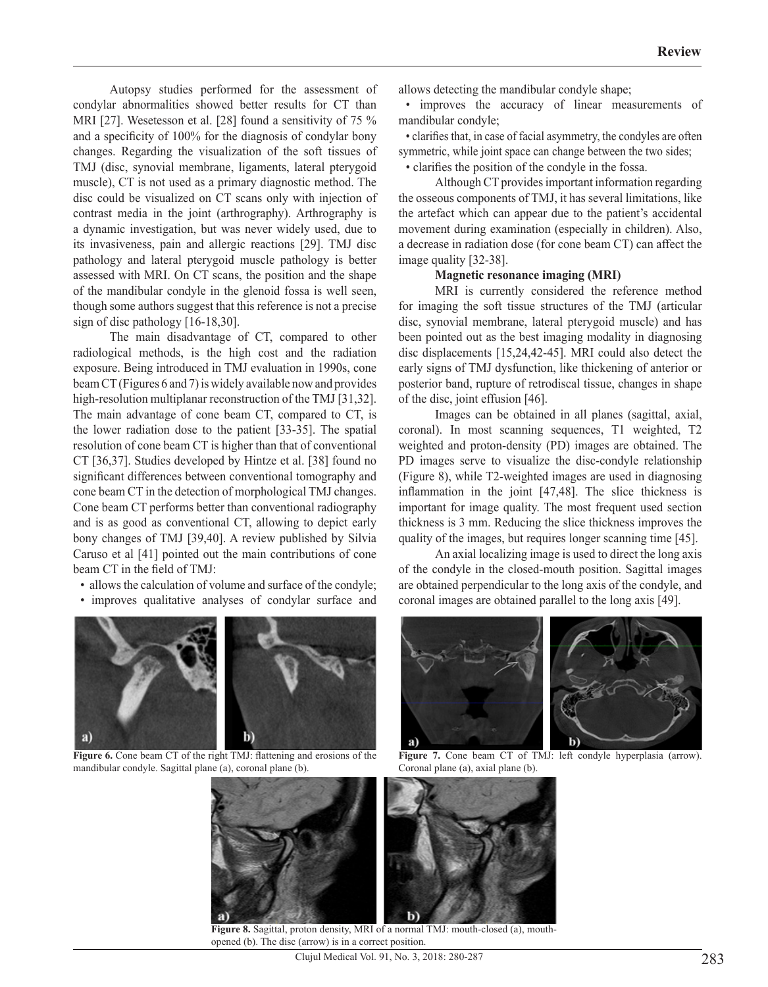Autopsy studies performed for the assessment of condylar abnormalities showed better results for CT than MRI [27]. Wesetesson et al. [28] found a sensitivity of 75 % and a specificity of 100% for the diagnosis of condylar bony changes. Regarding the visualization of the soft tissues of TMJ (disc, synovial membrane, ligaments, lateral pterygoid muscle), CT is not used as a primary diagnostic method. The disc could be visualized on CT scans only with injection of contrast media in the joint (arthrography). Arthrography is a dynamic investigation, but was never widely used, due to its invasiveness, pain and allergic reactions [29]. TMJ disc pathology and lateral pterygoid muscle pathology is better assessed with MRI. On CT scans, the position and the shape of the mandibular condyle in the glenoid fossa is well seen, though some authors suggest that this reference is not a precise sign of disc pathology [16-18,30].

The main disadvantage of CT, compared to other radiological methods, is the high cost and the radiation exposure. Being introduced in TMJ evaluation in 1990s, cone beam CT (Figures 6 and 7) is widely available now and provides high-resolution multiplanar reconstruction of the TMJ [31,32]. The main advantage of cone beam CT, compared to CT, is the lower radiation dose to the patient [33-35]. The spatial resolution of cone beam CT is higher than that of conventional CT [36,37]. Studies developed by Hintze et al. [38] found no significant differences between conventional tomography and cone beam CT in the detection of morphological TMJ changes. Cone beam CT performs better than conventional radiography and is as good as conventional CT, allowing to depict early bony changes of TMJ [39,40]. A review published by Silvia Caruso et al [41] pointed out the main contributions of cone beam CT in the field of TMJ:

- allows the calculation of volume and surface of the condyle;
- improves qualitative analyses of condylar surface and



Figure 6. Cone beam CT of the right TMJ: flattening and erosions of the mandibular condyle. Sagittal plane (a), coronal plane (b).

allows detecting the mandibular condyle shape;

• improves the accuracy of linear measurements of mandibular condyle;

• clarifies that, in case of facial asymmetry, the condyles are often symmetric, while joint space can change between the two sides; • clarifies the position of the condyle in the fossa.

Although CT provides important information regarding the osseous components of TMJ, it has several limitations, like the artefact which can appear due to the patient's accidental movement during examination (especially in children). Also, a decrease in radiation dose (for cone beam CT) can affect the image quality [32-38].

### **Magnetic resonance imaging (MRI)**

MRI is currently considered the reference method for imaging the soft tissue structures of the TMJ (articular disc, synovial membrane, lateral pterygoid muscle) and has been pointed out as the best imaging modality in diagnosing disc displacements [15,24,42-45]. MRI could also detect the early signs of TMJ dysfunction, like thickening of anterior or posterior band, rupture of retrodiscal tissue, changes in shape of the disc, joint effusion [46].

Images can be obtained in all planes (sagittal, axial, coronal). In most scanning sequences, T1 weighted, T2 weighted and proton-density (PD) images are obtained. The PD images serve to visualize the disc-condyle relationship (Figure 8), while T2-weighted images are used in diagnosing inflammation in the joint [47,48]. The slice thickness is important for image quality. The most frequent used section thickness is 3 mm. Reducing the slice thickness improves the quality of the images, but requires longer scanning time [45].

An axial localizing image is used to direct the long axis of the condyle in the closed-mouth position. Sagittal images are obtained perpendicular to the long axis of the condyle, and coronal images are obtained parallel to the long axis [49].



Figure 7. Cone beam CT of TMJ: left condyle hyperplasia (arrow). Coronal plane (a), axial plane (b).



**Figure 8.** Sagittal, proton density, MRI of a normal TMJ: mouth-closed (a), mouthopened (b). The disc (arrow) is in a correct position.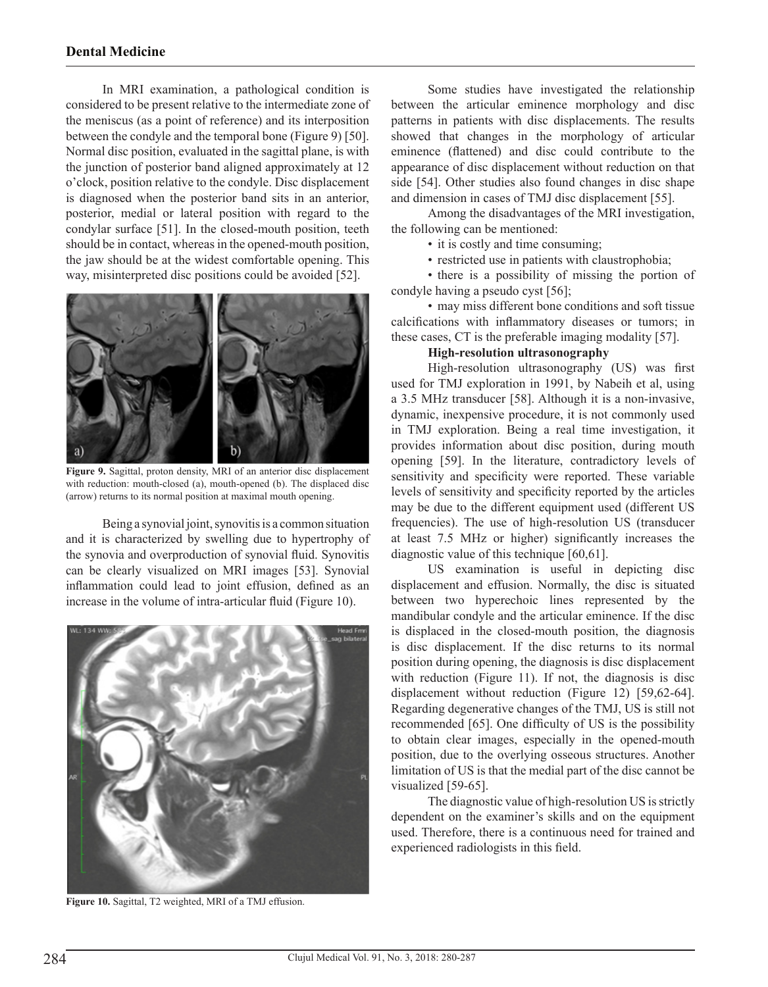## **Dental Medicine**

In MRI examination, a pathological condition is considered to be present relative to the intermediate zone of the meniscus (as a point of reference) and its interposition between the condyle and the temporal bone (Figure 9) [50]. Normal disc position, evaluated in the sagittal plane, is with the junction of posterior band aligned approximately at 12 o'clock, position relative to the condyle. Disc displacement is diagnosed when the posterior band sits in an anterior, posterior, medial or lateral position with regard to the condylar surface [51]. In the closed-mouth position, teeth should be in contact, whereas in the opened-mouth position, the jaw should be at the widest comfortable opening. This way, misinterpreted disc positions could be avoided [52].



**Figure 9.** Sagittal, proton density, MRI of an anterior disc displacement with reduction: mouth-closed (a), mouth-opened (b). The displaced disc (arrow) returns to its normal position at maximal mouth opening.

Being a synovial joint, synovitis is a common situation and it is characterized by swelling due to hypertrophy of the synovia and overproduction of synovial fluid. Synovitis can be clearly visualized on MRI images [53]. Synovial inflammation could lead to joint effusion, defined as an increase in the volume of intra-articular fluid (Figure 10).



**Figure 10.** Sagittal, T2 weighted, MRI of a TMJ effusion.

Some studies have investigated the relationship between the articular eminence morphology and disc patterns in patients with disc displacements. The results showed that changes in the morphology of articular eminence (flattened) and disc could contribute to the appearance of disc displacement without reduction on that side [54]. Other studies also found changes in disc shape and dimension in cases of TMJ disc displacement [55].

Among the disadvantages of the MRI investigation, the following can be mentioned:

- it is costly and time consuming;
- restricted use in patients with claustrophobia;

• there is a possibility of missing the portion of condyle having a pseudo cyst [56];

• may miss different bone conditions and soft tissue calcifications with inflammatory diseases or tumors; in these cases, CT is the preferable imaging modality [57].

#### **High-resolution ultrasonography**

High-resolution ultrasonography (US) was first used for TMJ exploration in 1991, by Nabeih et al, using a 3.5 MHz transducer [58]. Although it is a non-invasive, dynamic, inexpensive procedure, it is not commonly used in TMJ exploration. Being a real time investigation, it provides information about disc position, during mouth opening [59]. In the literature, contradictory levels of sensitivity and specificity were reported. These variable levels of sensitivity and specificity reported by the articles may be due to the different equipment used (different US frequencies). The use of high-resolution US (transducer at least 7.5 MHz or higher) significantly increases the diagnostic value of this technique [60,61].

US examination is useful in depicting disc displacement and effusion. Normally, the disc is situated between two hyperechoic lines represented by the mandibular condyle and the articular eminence. If the disc is displaced in the closed-mouth position, the diagnosis is disc displacement. If the disc returns to its normal position during opening, the diagnosis is disc displacement with reduction (Figure 11). If not, the diagnosis is disc displacement without reduction (Figure 12) [59,62-64]. Regarding degenerative changes of the TMJ, US is still not recommended [65]. One difficulty of US is the possibility to obtain clear images, especially in the opened-mouth position, due to the overlying osseous structures. Another limitation of US is that the medial part of the disc cannot be visualized [59-65].

The diagnostic value of high-resolution US is strictly dependent on the examiner's skills and on the equipment used. Therefore, there is a continuous need for trained and experienced radiologists in this field.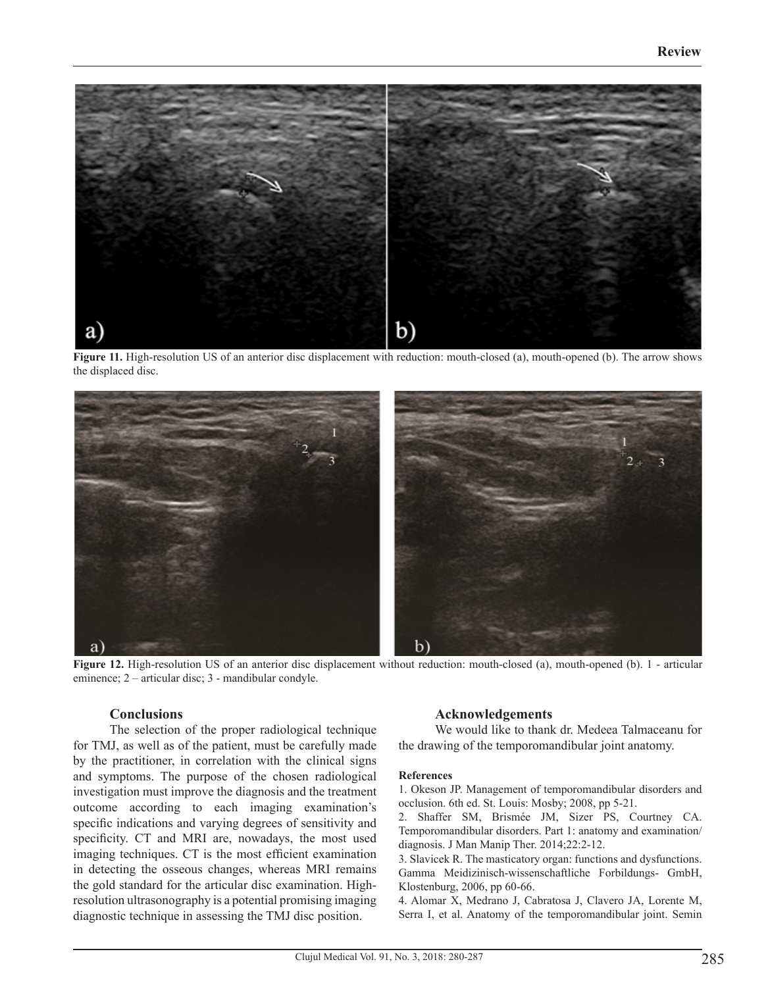

**Figure 11.** High-resolution US of an anterior disc displacement with reduction: mouth-closed (a), mouth-opened (b). The arrow shows the displaced disc.



**Figure 12.** High-resolution US of an anterior disc displacement without reduction: mouth-closed (a), mouth-opened (b). 1 - articular eminence; 2 – articular disc; 3 - mandibular condyle.

## **Conclusions**

The selection of the proper radiological technique for TMJ, as well as of the patient, must be carefully made by the practitioner, in correlation with the clinical signs and symptoms. The purpose of the chosen radiological investigation must improve the diagnosis and the treatment outcome according to each imaging examination's specific indications and varying degrees of sensitivity and specificity. CT and MRI are, nowadays, the most used imaging techniques. CT is the most efficient examination in detecting the osseous changes, whereas MRI remains the gold standard for the articular disc examination. Highresolution ultrasonography is a potential promising imaging diagnostic technique in assessing the TMJ disc position.

## **Acknowledgements**

We would like to thank dr. Medeea Talmaceanu for the drawing of the temporomandibular joint anatomy.

#### **References**

1. Okeson JP. Management of temporomandibular disorders and occlusion. 6th ed. St. Louis: Mosby; 2008, pp 5-21.

2. Shaffer SM, Brismée JM, Sizer PS, Courtney CA. Temporomandibular disorders. Part 1: anatomy and examination/ diagnosis. J Man Manip Ther. 2014;22:2-12.

3. Slavicek R. The masticatory organ: functions and dysfunctions. Gamma Meidizinisch-wissenschaftliche Forbildungs- GmbH, Klostenburg, 2006, pp 60-66.

4. Alomar X, Medrano J, Cabratosa J, Clavero JA, Lorente M, Serra I, et al. Anatomy of the temporomandibular joint. Semin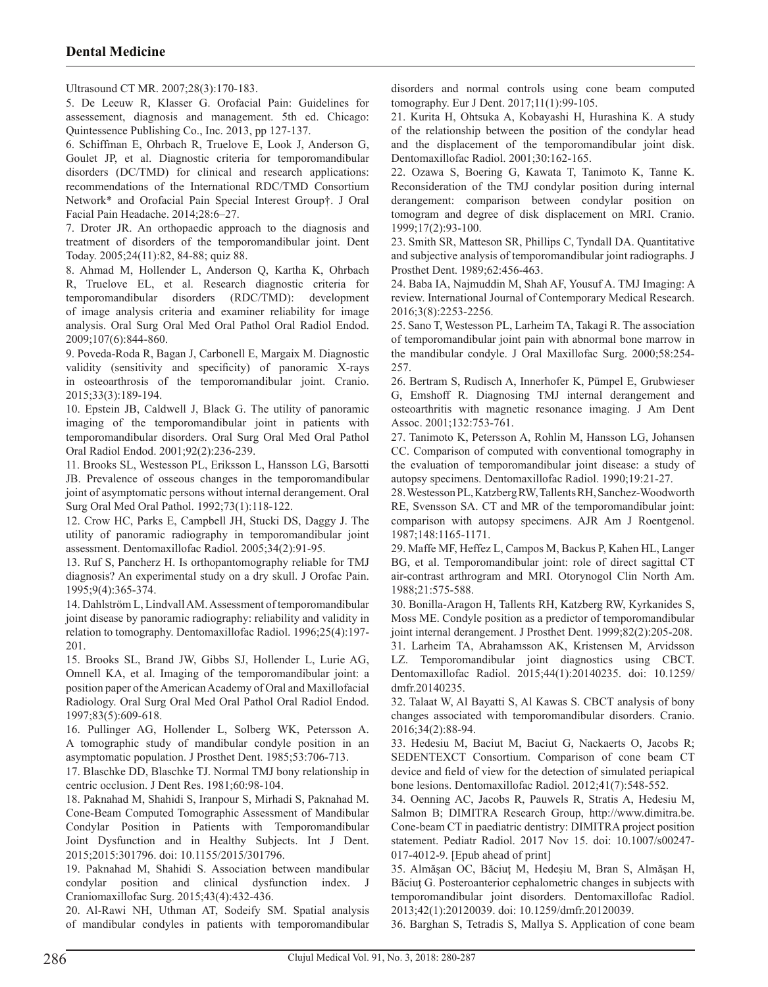Ultrasound CT MR. 2007;28(3):170-183.

5. De Leeuw R, Klasser G. Orofacial Pain: Guidelines for assessement, diagnosis and management. 5th ed. Chicago: Quintessence Publishing Co., Inc. 2013, pp 127-137.

6. Schiffman E, Ohrbach R, Truelove E, Look J, Anderson G, Goulet JP, et al. Diagnostic criteria for temporomandibular disorders (DC/TMD) for clinical and research applications: recommendations of the International RDC/TMD Consortium Network\* and Orofacial Pain Special Interest Group†. J Oral Facial Pain Headache. 2014;28:6–27.

7. Droter JR. An orthopaedic approach to the diagnosis and treatment of disorders of the temporomandibular joint. Dent Today. 2005;24(11):82, 84-88; quiz 88.

8. Ahmad M, Hollender L, Anderson Q, Kartha K, Ohrbach R, Truelove EL, et al. Research diagnostic criteria for temporomandibular disorders (RDC/TMD): development of image analysis criteria and examiner reliability for image analysis. Oral Surg Oral Med Oral Pathol Oral Radiol Endod. 2009;107(6):844-860.

9. Poveda-Roda R, Bagan J, Carbonell E, Margaix M. Diagnostic validity (sensitivity and specificity) of panoramic X-rays in osteoarthrosis of the temporomandibular joint. Cranio. 2015;33(3):189-194.

10. Epstein JB, Caldwell J, Black G. The utility of panoramic imaging of the temporomandibular joint in patients with temporomandibular disorders. Oral Surg Oral Med Oral Pathol Oral Radiol Endod. 2001;92(2):236-239.

11. Brooks SL, Westesson PL, Eriksson L, Hansson LG, Barsotti JB. Prevalence of osseous changes in the temporomandibular joint of asymptomatic persons without internal derangement. Oral Surg Oral Med Oral Pathol. 1992;73(1):118-122.

12. Crow HC, Parks E, Campbell JH, Stucki DS, Daggy J. The utility of panoramic radiography in temporomandibular joint assessment. Dentomaxillofac Radiol. 2005;34(2):91-95.

13. Ruf S, Pancherz H. Is orthopantomography reliable for TMJ diagnosis? An experimental study on a dry skull. J Orofac Pain. 1995;9(4):365-374.

14. Dahlström L, Lindvall AM. Assessment of temporomandibular joint disease by panoramic radiography: reliability and validity in relation to tomography. Dentomaxillofac Radiol. 1996;25(4):197- 201.

15. Brooks SL, Brand JW, Gibbs SJ, Hollender L, Lurie AG, Omnell KA, et al. Imaging of the temporomandibular joint: a position paper of the American Academy of Oral and Maxillofacial Radiology. Oral Surg Oral Med Oral Pathol Oral Radiol Endod. 1997;83(5):609-618.

16. Pullinger AG, Hollender L, Solberg WK, Petersson A. A tomographic study of mandibular condyle position in an asymptomatic population. J Prosthet Dent. 1985;53:706-713.

17. Blaschke DD, Blaschke TJ. Normal TMJ bony relationship in centric occlusion. J Dent Res. 1981;60:98-104.

18. Paknahad M, Shahidi S, Iranpour S, Mirhadi S, Paknahad M. Cone-Beam Computed Tomographic Assessment of Mandibular Condylar Position in Patients with Temporomandibular Joint Dysfunction and in Healthy Subjects. Int J Dent. 2015;2015:301796. doi: 10.1155/2015/301796.

19. Paknahad M, Shahidi S. Association between mandibular condylar position and clinical dysfunction index. J Craniomaxillofac Surg. 2015;43(4):432-436.

20. Al-Rawi NH, Uthman AT, Sodeify SM. Spatial analysis of mandibular condyles in patients with temporomandibular disorders and normal controls using cone beam computed tomography. Eur J Dent. 2017;11(1):99-105.

21. Kurita H, Ohtsuka A, Kobayashi H, Hurashina K. A study of the relationship between the position of the condylar head and the displacement of the temporomandibular joint disk. Dentomaxillofac Radiol. 2001;30:162-165.

22. Ozawa S, Boering G, Kawata T, Tanimoto K, Tanne K. Reconsideration of the TMJ condylar position during internal derangement: comparison between condylar position on tomogram and degree of disk displacement on MRI. Cranio. 1999;17(2):93-100.

23. Smith SR, Matteson SR, Phillips C, Tyndall DA. Quantitative and subjective analysis of temporomandibular joint radiographs. J Prosthet Dent. 1989;62:456-463.

24. Baba IA, Najmuddin M, Shah AF, Yousuf A. TMJ Imaging: A review. International Journal of Contemporary Medical Research. 2016;3(8):2253-2256.

25. Sano T, Westesson PL, Larheim TA, Takagi R. The association of temporomandibular joint pain with abnormal bone marrow in the mandibular condyle. J Oral Maxillofac Surg. 2000;58:254- 257.

26. Bertram S, Rudisch A, Innerhofer K, Pümpel E, Grubwieser G, Emshoff R. Diagnosing TMJ internal derangement and osteoarthritis with magnetic resonance imaging. J Am Dent Assoc. 2001;132:753-761.

27. Tanimoto K, Petersson A, Rohlin M, Hansson LG, Johansen CC. Comparison of computed with conventional tomography in the evaluation of temporomandibular joint disease: a study of autopsy specimens. Dentomaxillofac Radiol. 1990;19:21-27.

28. Westesson PL, Katzberg RW, Tallents RH, Sanchez-Woodworth RE, Svensson SA. CT and MR of the temporomandibular joint: comparison with autopsy specimens. AJR Am J Roentgenol. 1987;148:1165-1171.

29. Maffe MF, Heffez L, Campos M, Backus P, Kahen HL, Langer BG, et al. Temporomandibular joint: role of direct sagittal CT air-contrast arthrogram and MRI. Otorynogol Clin North Am. 1988;21:575-588.

30. Bonilla-Aragon H, Tallents RH, Katzberg RW, Kyrkanides S, Moss ME. Condyle position as a predictor of temporomandibular joint internal derangement. J Prosthet Dent. 1999;82(2):205-208.

31. Larheim TA, Abrahamsson AK, Kristensen M, Arvidsson LZ. Temporomandibular joint diagnostics using CBCT. Dentomaxillofac Radiol. 2015;44(1):20140235. doi: 10.1259/ dmfr.20140235.

32. Talaat W, Al Bayatti S, Al Kawas S. CBCT analysis of bony changes associated with temporomandibular disorders. Cranio. 2016;34(2):88-94.

33. Hedesiu M, Baciut M, Baciut G, Nackaerts O, Jacobs R; SEDENTEXCT Consortium. Comparison of cone beam CT device and field of view for the detection of simulated periapical bone lesions. Dentomaxillofac Radiol. 2012;41(7):548-552.

34. Oenning AC, Jacobs R, Pauwels R, Stratis A, Hedesiu M, Salmon B; DIMITRA Research Group, http://www.dimitra.be. Cone-beam CT in paediatric dentistry: DIMITRA project position statement. Pediatr Radiol. 2017 Nov 15. doi: 10.1007/s00247- 017-4012-9. [Epub ahead of print]

35. Almăşan OC, Băciuţ M, Hedeşiu M, Bran S, Almăşan H, Băciuţ G. Posteroanterior cephalometric changes in subjects with temporomandibular joint disorders. Dentomaxillofac Radiol. 2013;42(1):20120039. doi: 10.1259/dmfr.20120039.

36. Barghan S, Tetradis S, Mallya S. Application of cone beam